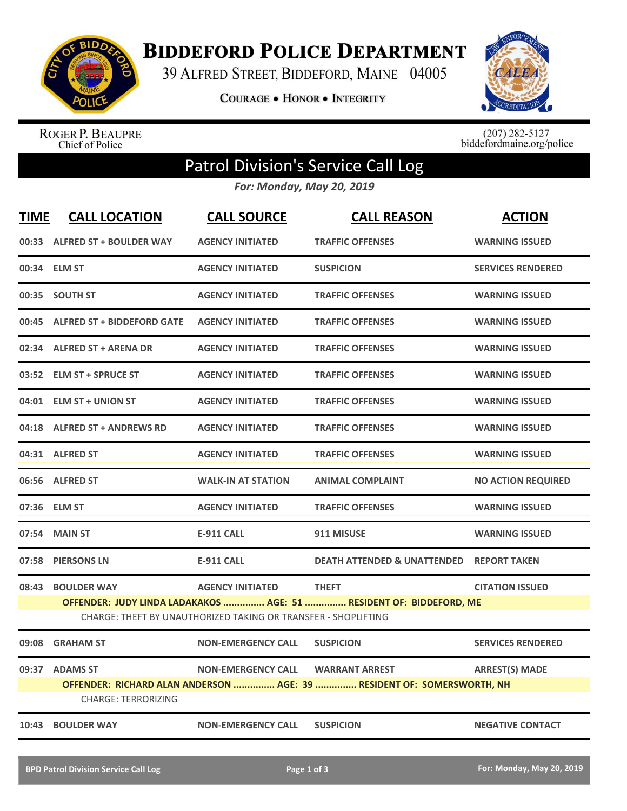

**BIDDEFORD POLICE DEPARTMENT** 

39 ALFRED STREET, BIDDEFORD, MAINE 04005

**COURAGE . HONOR . INTEGRITY** 



ROGER P. BEAUPRE<br>Chief of Police

 $(207)$  282-5127<br>biddefordmaine.org/police

## Patrol Division's Service Call Log

*For: Monday, May 20, 2019*

| <b>TIME</b>                                                                                                                           | <b>CALL LOCATION</b>                         | <b>CALL SOURCE</b>        | <b>CALL REASON</b>                                                                              | <b>ACTION</b>             |  |  |
|---------------------------------------------------------------------------------------------------------------------------------------|----------------------------------------------|---------------------------|-------------------------------------------------------------------------------------------------|---------------------------|--|--|
|                                                                                                                                       | 00:33 ALFRED ST + BOULDER WAY                | <b>AGENCY INITIATED</b>   | <b>TRAFFIC OFFENSES</b>                                                                         | <b>WARNING ISSUED</b>     |  |  |
|                                                                                                                                       | 00:34 ELM ST                                 | <b>AGENCY INITIATED</b>   | <b>SUSPICION</b>                                                                                | <b>SERVICES RENDERED</b>  |  |  |
|                                                                                                                                       | 00:35 SOUTH ST                               | <b>AGENCY INITIATED</b>   | <b>TRAFFIC OFFENSES</b>                                                                         | <b>WARNING ISSUED</b>     |  |  |
|                                                                                                                                       | 00:45 ALFRED ST + BIDDEFORD GATE             | <b>AGENCY INITIATED</b>   | <b>TRAFFIC OFFENSES</b>                                                                         | <b>WARNING ISSUED</b>     |  |  |
|                                                                                                                                       | 02:34 ALFRED ST + ARENA DR                   | <b>AGENCY INITIATED</b>   | <b>TRAFFIC OFFENSES</b>                                                                         | <b>WARNING ISSUED</b>     |  |  |
|                                                                                                                                       | 03:52 ELM ST + SPRUCE ST                     | <b>AGENCY INITIATED</b>   | <b>TRAFFIC OFFENSES</b>                                                                         | <b>WARNING ISSUED</b>     |  |  |
|                                                                                                                                       | 04:01 ELM ST + UNION ST                      | <b>AGENCY INITIATED</b>   | <b>TRAFFIC OFFENSES</b>                                                                         | <b>WARNING ISSUED</b>     |  |  |
|                                                                                                                                       | 04:18 ALFRED ST + ANDREWS RD                 | <b>AGENCY INITIATED</b>   | <b>TRAFFIC OFFENSES</b>                                                                         | <b>WARNING ISSUED</b>     |  |  |
|                                                                                                                                       | 04:31 ALFRED ST                              | <b>AGENCY INITIATED</b>   | <b>TRAFFIC OFFENSES</b>                                                                         | <b>WARNING ISSUED</b>     |  |  |
|                                                                                                                                       | 06:56 ALFRED ST                              | <b>WALK-IN AT STATION</b> | <b>ANIMAL COMPLAINT</b>                                                                         | <b>NO ACTION REQUIRED</b> |  |  |
|                                                                                                                                       | 07:36 ELM ST                                 | <b>AGENCY INITIATED</b>   | <b>TRAFFIC OFFENSES</b>                                                                         | <b>WARNING ISSUED</b>     |  |  |
|                                                                                                                                       | 07:54 MAIN ST                                | <b>E-911 CALL</b>         | 911 MISUSE                                                                                      | <b>WARNING ISSUED</b>     |  |  |
|                                                                                                                                       | 07:58 PIERSONS LN                            | <b>E-911 CALL</b>         | <b>DEATH ATTENDED &amp; UNATTENDED</b>                                                          | <b>REPORT TAKEN</b>       |  |  |
|                                                                                                                                       | 08:43 BOULDER WAY                            | <b>AGENCY INITIATED</b>   | <b>THEFT</b>                                                                                    | <b>CITATION ISSUED</b>    |  |  |
| OFFENDER: JUDY LINDA LADAKAKOS  AGE: 51  RESIDENT OF: BIDDEFORD, ME<br>CHARGE: THEFT BY UNAUTHORIZED TAKING OR TRANSFER - SHOPLIFTING |                                              |                           |                                                                                                 |                           |  |  |
| 09:08                                                                                                                                 | <b>GRAHAM ST</b>                             | <b>NON-EMERGENCY CALL</b> | <b>SUSPICION</b>                                                                                | <b>SERVICES RENDERED</b>  |  |  |
|                                                                                                                                       | 09:37 ADAMS ST<br><b>CHARGE: TERRORIZING</b> | <b>NON-EMERGENCY CALL</b> | <b>WARRANT ARREST</b><br>OFFENDER: RICHARD ALAN ANDERSON  AGE: 39  RESIDENT OF: SOMERSWORTH, NH | <b>ARREST(S) MADE</b>     |  |  |
|                                                                                                                                       | 10:43 BOULDER WAY                            | <b>NON-EMERGENCY CALL</b> | <b>SUSPICION</b>                                                                                | <b>NEGATIVE CONTACT</b>   |  |  |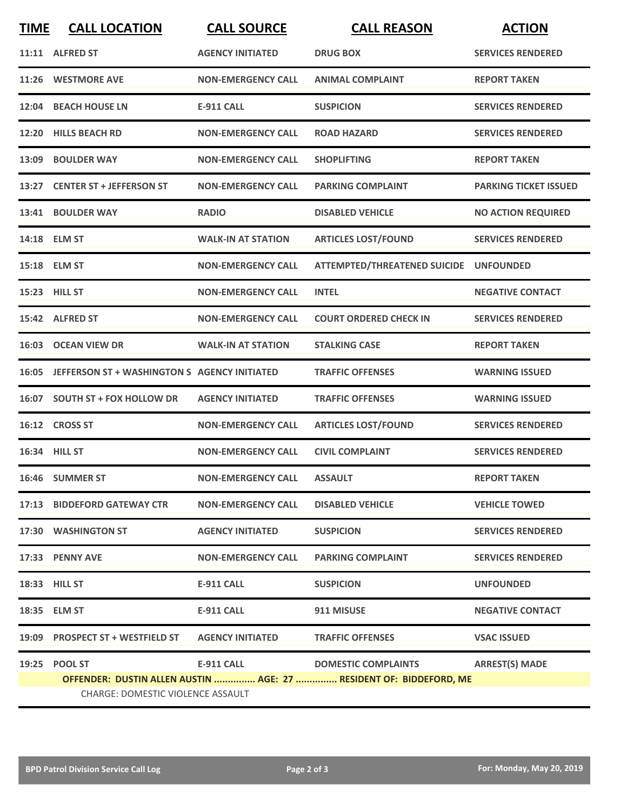| <b>TIME</b> | <b>CALL LOCATION</b>                                                                                           | <b>CALL SOURCE</b>        | <b>CALL REASON</b>                     | <b>ACTION</b>                |  |  |
|-------------|----------------------------------------------------------------------------------------------------------------|---------------------------|----------------------------------------|------------------------------|--|--|
|             | 11:11 ALFRED ST                                                                                                | <b>AGENCY INITIATED</b>   | <b>DRUG BOX</b>                        | <b>SERVICES RENDERED</b>     |  |  |
|             | 11:26 WESTMORE AVE                                                                                             | <b>NON-EMERGENCY CALL</b> | <b>ANIMAL COMPLAINT</b>                | <b>REPORT TAKEN</b>          |  |  |
|             | 12:04 BEACH HOUSE LN                                                                                           | <b>E-911 CALL</b>         | <b>SUSPICION</b>                       | <b>SERVICES RENDERED</b>     |  |  |
|             | 12:20 HILLS BEACH RD                                                                                           | <b>NON-EMERGENCY CALL</b> | <b>ROAD HAZARD</b>                     | <b>SERVICES RENDERED</b>     |  |  |
|             | 13:09 BOULDER WAY                                                                                              | <b>NON-EMERGENCY CALL</b> | <b>SHOPLIFTING</b>                     | <b>REPORT TAKEN</b>          |  |  |
|             | 13:27 CENTER ST + JEFFERSON ST                                                                                 | <b>NON-EMERGENCY CALL</b> | <b>PARKING COMPLAINT</b>               | <b>PARKING TICKET ISSUED</b> |  |  |
|             | 13:41 BOULDER WAY                                                                                              | <b>RADIO</b>              | <b>DISABLED VEHICLE</b>                | <b>NO ACTION REQUIRED</b>    |  |  |
|             | 14:18 ELM ST                                                                                                   | <b>WALK-IN AT STATION</b> | <b>ARTICLES LOST/FOUND</b>             | <b>SERVICES RENDERED</b>     |  |  |
|             | 15:18 ELM ST                                                                                                   | <b>NON-EMERGENCY CALL</b> | ATTEMPTED/THREATENED SUICIDE UNFOUNDED |                              |  |  |
|             | 15:23 HILL ST                                                                                                  | <b>NON-EMERGENCY CALL</b> | <b>INTEL</b>                           | <b>NEGATIVE CONTACT</b>      |  |  |
|             | 15:42 ALFRED ST                                                                                                | <b>NON-EMERGENCY CALL</b> | <b>COURT ORDERED CHECK IN</b>          | <b>SERVICES RENDERED</b>     |  |  |
|             | 16:03 OCEAN VIEW DR                                                                                            | <b>WALK-IN AT STATION</b> | <b>STALKING CASE</b>                   | <b>REPORT TAKEN</b>          |  |  |
| 16:05       | JEFFERSON ST + WASHINGTON S AGENCY INITIATED                                                                   |                           | <b>TRAFFIC OFFENSES</b>                | <b>WARNING ISSUED</b>        |  |  |
|             | 16:07 SOUTH ST + FOX HOLLOW DR                                                                                 | <b>AGENCY INITIATED</b>   | <b>TRAFFIC OFFENSES</b>                | <b>WARNING ISSUED</b>        |  |  |
|             | 16:12 CROSS ST                                                                                                 | <b>NON-EMERGENCY CALL</b> | <b>ARTICLES LOST/FOUND</b>             | <b>SERVICES RENDERED</b>     |  |  |
|             | 16:34 HILL ST                                                                                                  | <b>NON-EMERGENCY CALL</b> | <b>CIVIL COMPLAINT</b>                 | <b>SERVICES RENDERED</b>     |  |  |
|             | 16:46 SUMMER ST                                                                                                | <b>NON-EMERGENCY CALL</b> | <b>ASSAULT</b>                         | <b>REPORT TAKEN</b>          |  |  |
|             | 17:13 BIDDEFORD GATEWAY CTR                                                                                    | <b>NON-EMERGENCY CALL</b> | <b>DISABLED VEHICLE</b>                | <b>VEHICLE TOWED</b>         |  |  |
|             | 17:30 WASHINGTON ST                                                                                            | <b>AGENCY INITIATED</b>   | <b>SUSPICION</b>                       | <b>SERVICES RENDERED</b>     |  |  |
|             | 17:33 PENNY AVE                                                                                                | <b>NON-EMERGENCY CALL</b> | <b>PARKING COMPLAINT</b>               | <b>SERVICES RENDERED</b>     |  |  |
|             | 18:33 HILL ST                                                                                                  | <b>E-911 CALL</b>         | <b>SUSPICION</b>                       | <b>UNFOUNDED</b>             |  |  |
|             | 18:35 ELM ST                                                                                                   | E-911 CALL                | 911 MISUSE                             | <b>NEGATIVE CONTACT</b>      |  |  |
|             | 19:09 PROSPECT ST + WESTFIELD ST                                                                               | <b>AGENCY INITIATED</b>   | <b>TRAFFIC OFFENSES</b>                | <b>VSAC ISSUED</b>           |  |  |
|             | 19:25 POOL ST                                                                                                  | <b>E-911 CALL</b>         | <b>DOMESTIC COMPLAINTS</b>             | <b>ARREST(S) MADE</b>        |  |  |
|             | OFFENDER: DUSTIN ALLEN AUSTIN  AGE: 27  RESIDENT OF: BIDDEFORD, ME<br><b>CHARGE: DOMESTIC VIOLENCE ASSAULT</b> |                           |                                        |                              |  |  |